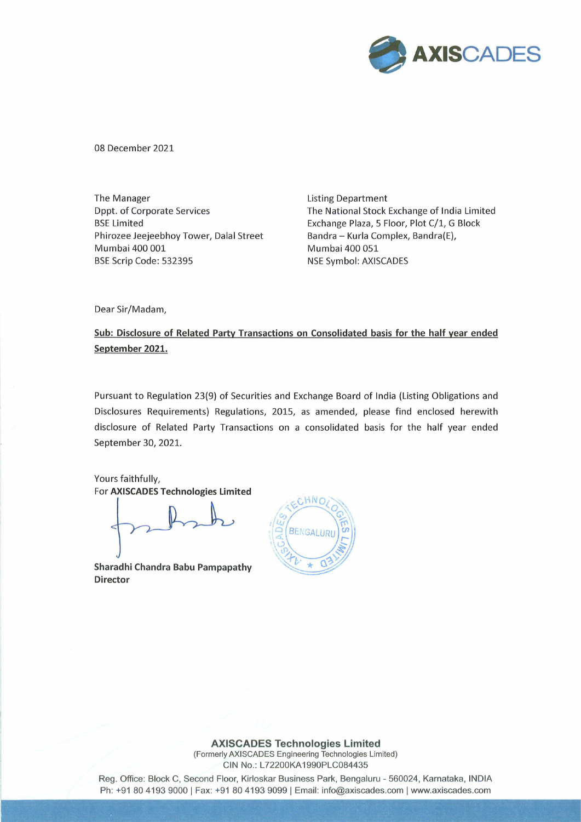

08 December 2021

The Manager The Manager and The Manager and The Manager and Listing Department Phirozee Jeejeebhoy Tower, Dalal Street Bandra - Kurla Complex, Bandra(E), Mumbai 400 001 Mumbai 400 051 BSE Scrip Code: 532395 NSE Symbol: AXISCADES

Dppt. of Corporate Services The National Stock Exchange of India Limited BSE Limited **Exchange Plaza, 5 Floor, Plot C/1, G Block** 

Dear Sir/Madam,

Sub: Disclosure of Related Party Transactions on Consolidated basis for the half year ended September 2021.

Pursuant to Regulation 23(9) of Securities and Exchange Board of India (Listing Obligations and Disclosures Requirements) Regulations, 2015, as amended, please find enclosed herewith disclosure of Related Party Transactions on a consolidated basis for the half year ended September 30, 2021. **CERT CONTROLLES**<br>
The Management Statistics (Separation of the Contract Contract Contract Certain (Separation)<br>
Unit of Contract Statistics (International Statistics Contract Certain Certain Certain Certain Certain Certa

Yours faithfully, For AXISCADES Technologies Limited

Sharadhi Chandra Babu Pampapathy Director



**AXISCADES Technologies Limited**<br>
Merly AXISCADES Engineering Technologies Lim<br>
CIN No.: L72200KA1990PLC084435<br>
J Floor, Kirloskar Business Park, Bengaluru<br>
: +91 80 4193 9099 | Email: info@axiscade (Formerly AXISCADES Engineering Technologies Limited) CIN No.: L72200KA1990PLC084435

Reg. Office: Block C, Second Floor, Kirloskar Business Park, Bengaluru - 560024, Karnataka, INDIA Ph: +91 80 4193 9000 | Fax: +91 80 4193 9099 | Email: info@axiscades.com | www.axiscades.com